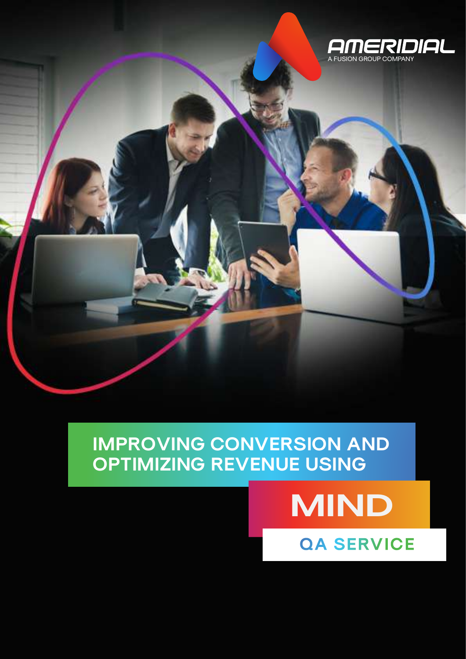

#### **IMPROVING CONVERSION AND OPTIMIZING REVENUE USING**

# **MIND**

**QA SERVICE**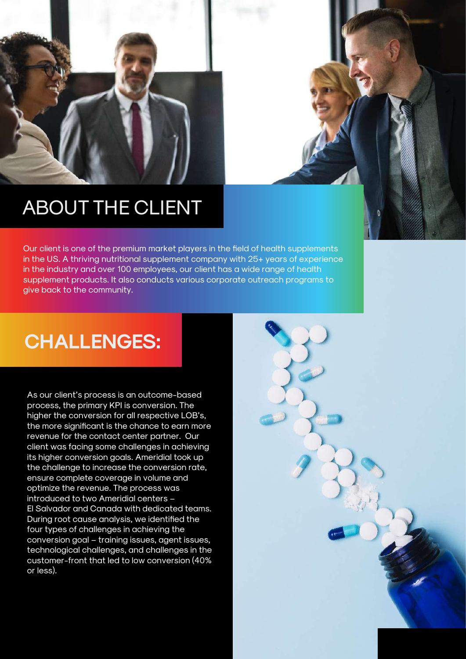

### ABOUT THE CLIENT

Our client is one of the premium market players in the field of health supplements in the US. A thriving nutritional supplement company with 25+ years of experience in the industry and over 100 employees, our client has a wide range of health supplement products. It also conducts various corporate outreach programs to give back to the community.

## **CHALLENGES:**

As our client's process is an outcome-based process, the primary KPI is conversion. The higher the conversion for all respective LOB's, the more significant is the chance to earn more revenue for the contact center partner. Our client was facing some challenges in achieving its higher conversion goals. Ameridial took up the challenge to increase the conversion rate, ensure complete coverage in volume and optimize the revenue. The process was introduced to two Ameridial centers – El Salvador and Canada with dedicated teams. During root cause analysis, we identified the four types of challenges in achieving the conversion goal – training issues, agent issues, technological challenges, and challenges in the customer-front that led to low conversion (40% or less).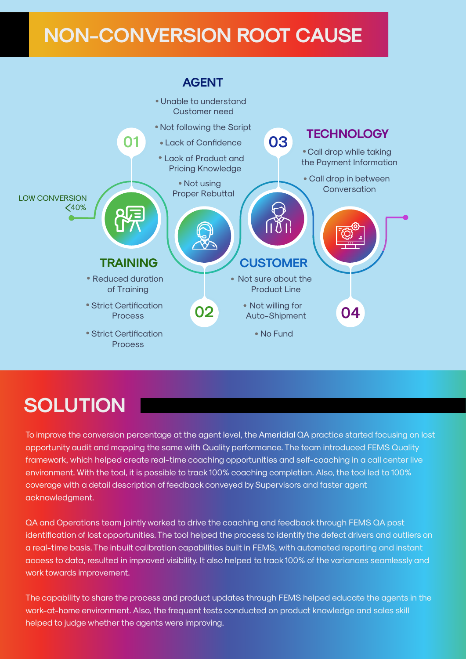### **NON-CONVERSION ROOT CAUSE**



### **SOLUTION**

To improve the conversion percentage at the agent level, the Ameridial QA practice started focusing on lost opportunity audit and mapping the same with Quality performance. The team introduced FEMS Quality framework, which helped create real-time coaching opportunities and self-coaching in a call center live environment. With the tool, it is possible to track 100% coaching completion. Also, the tool led to 100% coverage with a detail description of feedback conveyed by Supervisors and faster agent acknowledgment.

QA and Operations team jointly worked to drive the coaching and feedback through FEMS QA post identification of lost opportunities. The tool helped the process to identify the defect drivers and outliers on a real-time basis. The inbuilt calibration capabilities built in FEMS, with automated reporting and instant access to data, resulted in improved visibility. It also helped to track 100% of the variances seamlessly and work towards improvement.

The capability to share the process and product updates through FEMS helped educate the agents in the work-at-home environment. Also, the frequent tests conducted on product knowledge and sales skill helped to judge whether the agents were improving.